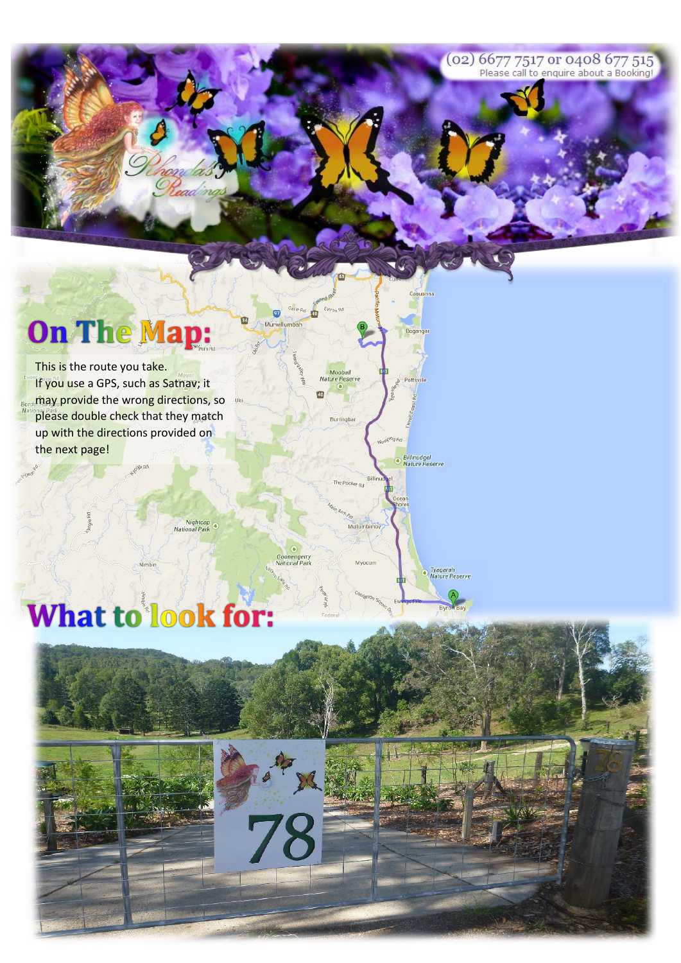(02) 6677 7517 or 0408 677 515<br>Please call to enquire about a Booking!

Casuarina

Billinudgel<br>Nature Reserve

Tyagarah<br>Nature Reserve

# **On The Map:**

This is the route you take. If you use a GPS, such as Satnay; it Bende thay provide the wrong directions, so please double check that they match up with the directions provided on the next page!

Nightcap<br>National Park

 $\overline{\mathbf{G}}$ 

 $\bullet$ Goonengerry<br>National Park

78

Murwill

 $\overline{a}$ 

Moobal

Ġ

Burringba

The Pocket Rd

Mullumbimb

Myocum

## **What to look for:**